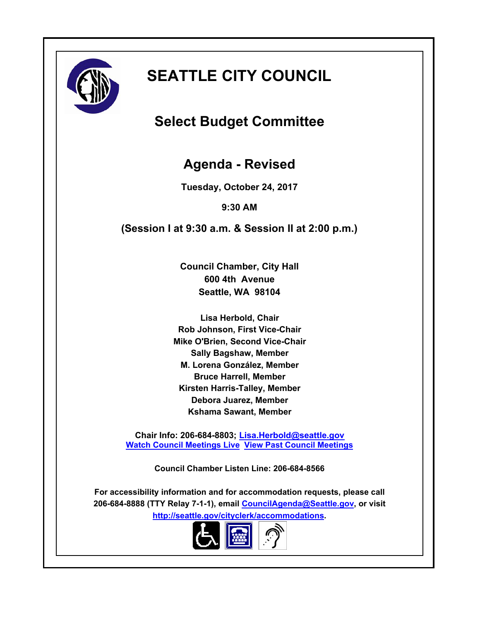

# **SEATTLE CITY COUNCIL**

# **Select Budget Committee**

# **Agenda - Revised**

**Tuesday, October 24, 2017**

**9:30 AM**

**(Session I at 9:30 a.m. & Session II at 2:00 p.m.)**

**Council Chamber, City Hall 600 4th Avenue Seattle, WA 98104**

**Lisa Herbold, Chair Rob Johnson, First Vice-Chair Mike O'Brien, Second Vice-Chair Sally Bagshaw, Member M. Lorena González, Member Bruce Harrell, Member Kirsten Harris-Talley, Member Debora Juarez, Member Kshama Sawant, Member**

**Chair Info: 206-684-8803; [Lisa.Herbold@seattle.gov](mailto:Lisa.Herbold@seattle.gov) [Watch Council Meetings Live](http://www.seattle.gov/council/councillive.htm) [View Past Council Meetings](http://www.seattlechannel.org/videos/browseVideos.asp?topic=council)**

**Council Chamber Listen Line: 206-684-8566**

**For accessibility information and for accommodation requests, please call 206-684-8888 (TTY Relay 7-1-1), email [CouncilAgenda@Seattle.gov](mailto: Council.Agenda@seattle.gov), or visit <http://seattle.gov/cityclerk/accommodations>.**

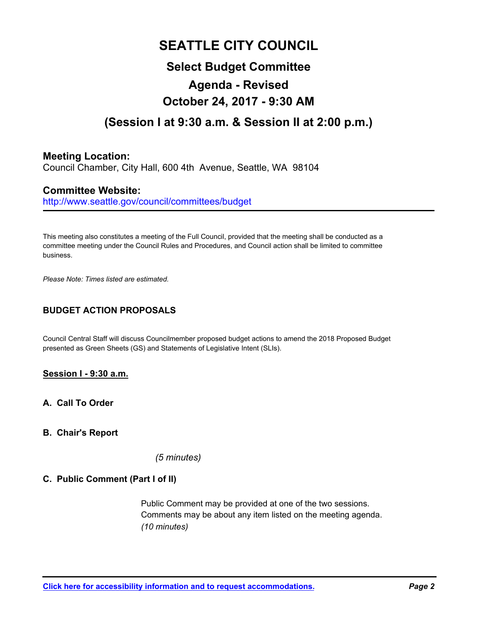# **SEATTLE CITY COUNCIL Select Budget Committee Agenda - Revised October 24, 2017 - 9:30 AM (Session I at 9:30 a.m. & Session II at 2:00 p.m.)**

## **Meeting Location:**

Council Chamber, City Hall, 600 4th Avenue, Seattle, WA 98104

## **Committee Website:**

http://www.seattle.gov/council/committees/budget

This meeting also constitutes a meeting of the Full Council, provided that the meeting shall be conducted as a committee meeting under the Council Rules and Procedures, and Council action shall be limited to committee business.

*Please Note: Times listed are estimated.*

### **BUDGET ACTION PROPOSALS**

Council Central Staff will discuss Councilmember proposed budget actions to amend the 2018 Proposed Budget presented as Green Sheets (GS) and Statements of Legislative Intent (SLIs).

#### **Session I - 9:30 a.m.**

**A. Call To Order**

#### **B. Chair's Report**

*(5 minutes)*

#### **C. Public Comment (Part I of II)**

Public Comment may be provided at one of the two sessions. Comments may be about any item listed on the meeting agenda. *(10 minutes)*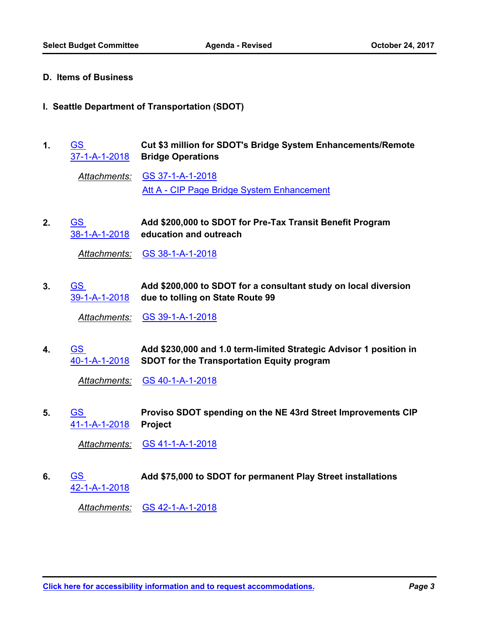#### **D. Items of Business**

#### **I. Seattle Department of Transportation (SDOT)**

**Cut \$3 million for SDOT's Bridge System Enhancements/Remote Bridge Operations** GS [37-1-A-1-2018](http://seattle.legistar.com/gateway.aspx?m=l&id=/matter.aspx?key=6128) **1.**

*Attachments:* [GS 37-1-A-1-2018](http://seattle.legistar.com/gateway.aspx?M=F&ID=4f2ae73c-9593-4785-b092-bde51a8453b7.docx) [Att A - CIP Page Bridge System Enhancement](http://seattle.legistar.com/gateway.aspx?M=F&ID=78a37159-c112-402e-b67b-3553538edb9c.pdf)

**Add \$200,000 to SDOT for Pre-Tax Transit Benefit Program education and outreach** GS [38-1-A-1-2018](http://seattle.legistar.com/gateway.aspx?m=l&id=/matter.aspx?key=6129) **2.**

*Attachments:* [GS 38-1-A-1-2018](http://seattle.legistar.com/gateway.aspx?M=F&ID=d79a450f-7ade-4618-bd39-61e19904d263.docx)

**Add \$200,000 to SDOT for a consultant study on local diversion due to tolling on State Route 99** [39-1-A-1-2018](http://seattle.legistar.com/gateway.aspx?m=l&id=/matter.aspx?key=6130) GS **3.**

*Attachments:* [GS 39-1-A-1-2018](http://seattle.legistar.com/gateway.aspx?M=F&ID=d8dc6312-80a9-40bf-9942-166482b14854.docx)

**Add \$230,000 and 1.0 term-limited Strategic Advisor 1 position in SDOT for the Transportation Equity program** GS [40-1-A-1-2018](http://seattle.legistar.com/gateway.aspx?m=l&id=/matter.aspx?key=6131) **4.**

*Attachments:* [GS 40-1-A-1-2018](http://seattle.legistar.com/gateway.aspx?M=F&ID=4f293c0e-3632-4a6b-8380-0eed76a3ad3a.docx)

**Proviso SDOT spending on the NE 43rd Street Improvements CIP Project** GS [41-1-A-1-2018](http://seattle.legistar.com/gateway.aspx?m=l&id=/matter.aspx?key=6132) **5.**

*Attachments:* [GS 41-1-A-1-2018](http://seattle.legistar.com/gateway.aspx?M=F&ID=0dbc556d-eaec-46fb-8f34-7890702d535f.docx)

GS **Add \$75,000 to SDOT for permanent Play Street installations** [42-1-A-1-2018](http://seattle.legistar.com/gateway.aspx?m=l&id=/matter.aspx?key=6133) **6.**

*Attachments:* [GS 42-1-A-1-2018](http://seattle.legistar.com/gateway.aspx?M=F&ID=22f90529-c35e-4676-b7d5-78af400887fa.docx)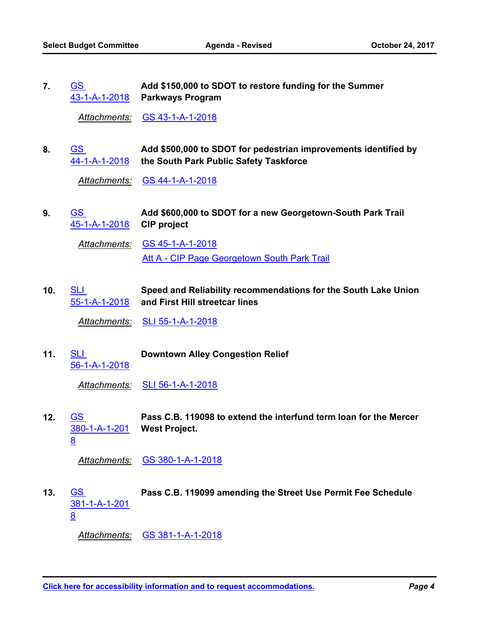**Add \$150,000 to SDOT to restore funding for the Summer Parkways Program** [43-1-A-1-2018](http://seattle.legistar.com/gateway.aspx?m=l&id=/matter.aspx?key=6134) GS **7.**

*Attachments:* [GS 43-1-A-1-2018](http://seattle.legistar.com/gateway.aspx?M=F&ID=c3485169-9476-4c3e-8e21-d72565690cbe.docx)

**Add \$500,000 to SDOT for pedestrian improvements identified by the South Park Public Safety Taskforce** GS [44-1-A-1-2018](http://seattle.legistar.com/gateway.aspx?m=l&id=/matter.aspx?key=6135) **8.**

*Attachments:* [GS 44-1-A-1-2018](http://seattle.legistar.com/gateway.aspx?M=F&ID=fa8cefa9-553f-4635-8a12-e336e4648546.docx)

**Add \$600,000 to SDOT for a new Georgetown-South Park Trail CIP project** GS [45-1-A-1-2018](http://seattle.legistar.com/gateway.aspx?m=l&id=/matter.aspx?key=6136) **9.**

*Attachments:* [GS 45-1-A-1-2018](http://seattle.legistar.com/gateway.aspx?M=F&ID=96f945ad-07f8-4340-93c1-f03ce0725c00.docx) [Att A - CIP Page Georgetown South Park Trail](http://seattle.legistar.com/gateway.aspx?M=F&ID=55af0d01-955f-4251-b44d-56f7e36b4074.pdf)

**Speed and Reliability recommendations for the South Lake Union and First Hill streetcar lines** SLI [55-1-A-1-2018](http://seattle.legistar.com/gateway.aspx?m=l&id=/matter.aspx?key=6187) **10.**

*Attachments:* [SLI 55-1-A-1-2018](http://seattle.legistar.com/gateway.aspx?M=F&ID=214b3ca0-ca7f-422f-8993-6cf30f029d3b.doc)

SLI **Downtown Alley Congestion Relief** [56-1-A-1-2018](http://seattle.legistar.com/gateway.aspx?m=l&id=/matter.aspx?key=6188) **11.**

*Attachments:* [SLI 56-1-A-1-2018](http://seattle.legistar.com/gateway.aspx?M=F&ID=3bdd7d1a-5319-450d-b661-06bdf325f5ad.doc)

**Pass C.B. 119098 to extend the interfund term loan for the Mercer West Project.** GS [380-1-A-1-201](http://seattle.legistar.com/gateway.aspx?m=l&id=/matter.aspx?key=6178) 8 **12.**

*Attachments:* [GS 380-1-A-1-2018](http://seattle.legistar.com/gateway.aspx?M=F&ID=1e57f1c4-3776-4394-b7b5-b79fc2a13102.docx)

GS **Pass C.B. 119099 amending the Street Use Permit Fee Schedule** [381-1-A-1-201](http://seattle.legistar.com/gateway.aspx?m=l&id=/matter.aspx?key=6179) 8 **13.**

*Attachments:* [GS 381-1-A-1-2018](http://seattle.legistar.com/gateway.aspx?M=F&ID=e4c2a188-b28c-45dd-9aac-c63032b9b022.docx)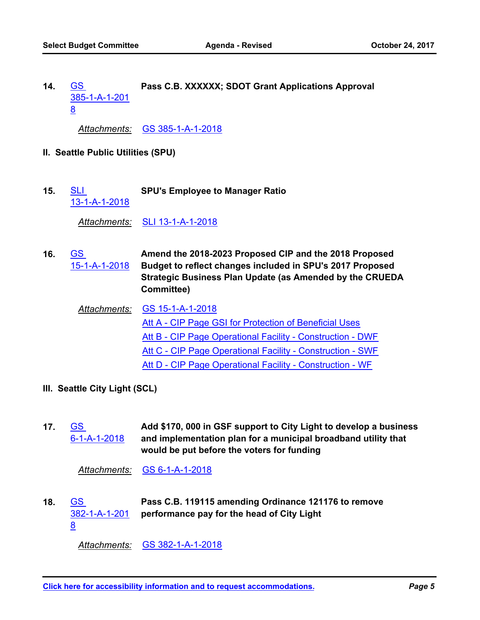GS **Pass C.B. XXXXXX; SDOT Grant Applications Approval** [385-1-A-1-201](http://seattle.legistar.com/gateway.aspx?m=l&id=/matter.aspx?key=6183) 8 **14.**

*Attachments:* [GS 385-1-A-1-2018](http://seattle.legistar.com/gateway.aspx?M=F&ID=5aba711a-bbf0-43a7-855a-3b9dab3acb6d.docx)

- **II. Seattle Public Utilities (SPU)**
- SLI **SPU's Employee to Manager Ratio** [13-1-A-1-2018](http://seattle.legistar.com/gateway.aspx?m=l&id=/matter.aspx?key=6186) **15.**

*Attachments:* [SLI 13-1-A-1-2018](http://seattle.legistar.com/gateway.aspx?M=F&ID=d2a9d2d9-313e-4425-af32-3ea342f2a0fd.doc)

**Amend the 2018-2023 Proposed CIP and the 2018 Proposed Budget to reflect changes included in SPU's 2017 Proposed Strategic Business Plan Update (as Amended by the CRUEDA Committee)** GS [15-1-A-1-2018](http://seattle.legistar.com/gateway.aspx?m=l&id=/matter.aspx?key=6127) **16.**

*Attachments:* [GS 15-1-A-1-2018](http://seattle.legistar.com/gateway.aspx?M=F&ID=dd3d330d-567e-4fc7-b081-cd1b7635d556.docx) [Att A - CIP Page GSI for Protection of Beneficial Uses](http://seattle.legistar.com/gateway.aspx?M=F&ID=1abffa01-427a-4775-ae6a-77a82561da5e.pdf) [Att B - CIP Page Operational Facility - Construction - DWF](http://seattle.legistar.com/gateway.aspx?M=F&ID=9ec4386d-3417-49b3-bacb-b1c654669910.pdf) [Att C - CIP Page Operational Facility - Construction - SWF](http://seattle.legistar.com/gateway.aspx?M=F&ID=640f8a83-f98c-4ab1-815c-d2f7b558cb6a.pdf) [Att D - CIP Page Operational Facility - Construction - WF](http://seattle.legistar.com/gateway.aspx?M=F&ID=93ad5879-bead-447c-a58c-da72228515f8.pdf)

- **III. Seattle City Light (SCL)**
- **Add \$170, 000 in GSF support to City Light to develop a business and implementation plan for a municipal broadband utility that would be put before the voters for funding** GS [6-1-A-1-2018](http://seattle.legistar.com/gateway.aspx?m=l&id=/matter.aspx?key=6126) **17.**

*Attachments:* [GS 6-1-A-1-2018](http://seattle.legistar.com/gateway.aspx?M=F&ID=0b2ecbe4-fa89-4353-b99d-9599f14178e4.docx)

**Pass C.B. 119115 amending Ordinance 121176 to remove performance pay for the head of City Light** GS [382-1-A-1-201](http://seattle.legistar.com/gateway.aspx?m=l&id=/matter.aspx?key=6180) 8 **18.**

*Attachments:* [GS 382-1-A-1-2018](http://seattle.legistar.com/gateway.aspx?M=F&ID=7abe34af-8029-453c-9bbc-a8a609fd5ac3.docx)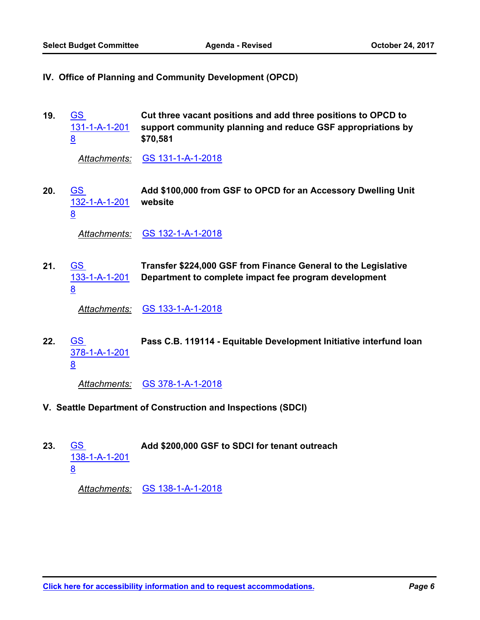- **IV. Office of Planning and Community Development (OPCD)**
- **Cut three vacant positions and add three positions to OPCD to support community planning and reduce GSF appropriations by \$70,581** GS [131-1-A-1-201](http://seattle.legistar.com/gateway.aspx?m=l&id=/matter.aspx?key=6157) 8 **19.**

*Attachments:* [GS 131-1-A-1-2018](http://seattle.legistar.com/gateway.aspx?M=F&ID=5ba6c8eb-092f-4ae6-b0e4-bf76b9963c10.docx)

**Add \$100,000 from GSF to OPCD for an Accessory Dwelling Unit website** GS [132-1-A-1-201](http://seattle.legistar.com/gateway.aspx?m=l&id=/matter.aspx?key=6158) 8 **20.**

*Attachments:* [GS 132-1-A-1-2018](http://seattle.legistar.com/gateway.aspx?M=F&ID=e990c814-b55f-4f66-8b50-2cd534cd70c4.docx)

**Transfer \$224,000 GSF from Finance General to the Legislative Department to complete impact fee program development** GS [133-1-A-1-201](http://seattle.legistar.com/gateway.aspx?m=l&id=/matter.aspx?key=6159) 8 **21.**

*Attachments:* [GS 133-1-A-1-2018](http://seattle.legistar.com/gateway.aspx?M=F&ID=aad53c93-0551-4f15-b464-a2ce25036902.docx)

GS **Pass C.B. 119114 - Equitable Development Initiative interfund loan** [378-1-A-1-201](http://seattle.legistar.com/gateway.aspx?m=l&id=/matter.aspx?key=6177) 8 **22.**

*Attachments:* [GS 378-1-A-1-2018](http://seattle.legistar.com/gateway.aspx?M=F&ID=8ee4436d-ca61-4ec8-8785-9309441ff305.docx)

- **V. Seattle Department of Construction and Inspections (SDCI)**
- GS **Add \$200,000 GSF to SDCI for tenant outreach** [138-1-A-1-201](http://seattle.legistar.com/gateway.aspx?m=l&id=/matter.aspx?key=6160) 8 **23.**

*Attachments:* [GS 138-1-A-1-2018](http://seattle.legistar.com/gateway.aspx?M=F&ID=20fc9c36-0722-441e-a220-9bfaca98174d.docx)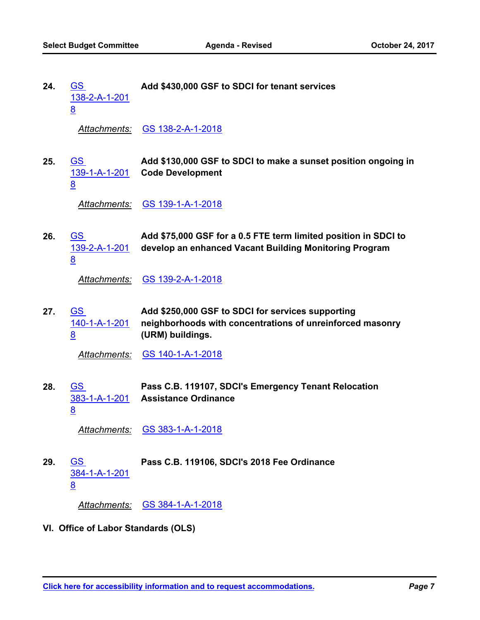**24.**

GS **Add \$430,000 GSF to SDCI for tenant services**

[138-2-A-1-201](http://seattle.legistar.com/gateway.aspx?m=l&id=/matter.aspx?key=6161) 8 *Attachments:* [GS 138-2-A-1-2018](http://seattle.legistar.com/gateway.aspx?M=F&ID=416779f6-52e7-46af-ac57-a1ea7c6a23bf.docx) **Add \$130,000 GSF to SDCI to make a sunset position ongoing in Code Development** GS [139-1-A-1-201](http://seattle.legistar.com/gateway.aspx?m=l&id=/matter.aspx?key=6162) 8 **25.** *Attachments:* [GS 139-1-A-1-2018](http://seattle.legistar.com/gateway.aspx?M=F&ID=7a830509-10a4-4deb-987b-e06e142dd358.docx) **Add \$75,000 GSF for a 0.5 FTE term limited position in SDCI to develop an enhanced Vacant Building Monitoring Program** GS [139-2-A-1-201](http://seattle.legistar.com/gateway.aspx?m=l&id=/matter.aspx?key=6163) 8 **26.** *Attachments:* [GS 139-2-A-1-2018](http://seattle.legistar.com/gateway.aspx?M=F&ID=85e06112-79e1-495a-b751-fc67b5277f6e.docx) **Add \$250,000 GSF to SDCI for services supporting neighborhoods with concentrations of unreinforced masonry (URM) buildings.** GS [140-1-A-1-201](http://seattle.legistar.com/gateway.aspx?m=l&id=/matter.aspx?key=6164) 8 **27.** *Attachments:* [GS 140-1-A-1-2018](http://seattle.legistar.com/gateway.aspx?M=F&ID=e6709da4-5673-4bfd-9502-c3e2627bec27.docx) **Pass C.B. 119107, SDCI's Emergency Tenant Relocation Assistance Ordinance** GS [383-1-A-1-201](http://seattle.legistar.com/gateway.aspx?m=l&id=/matter.aspx?key=6181) 8 **28.** *Attachments:* [GS 383-1-A-1-2018](http://seattle.legistar.com/gateway.aspx?M=F&ID=2bde7993-f9cf-4a5d-aa58-8ceb20dd02fe.docx) GS **Pass C.B. 119106, SDCI's 2018 Fee Ordinance** [384-1-A-1-201](http://seattle.legistar.com/gateway.aspx?m=l&id=/matter.aspx?key=6182) 8 **29.**

*Attachments:* [GS 384-1-A-1-2018](http://seattle.legistar.com/gateway.aspx?M=F&ID=a78602d7-96cb-47c8-820e-d451b5764904.docx)

**VI. Office of Labor Standards (OLS)**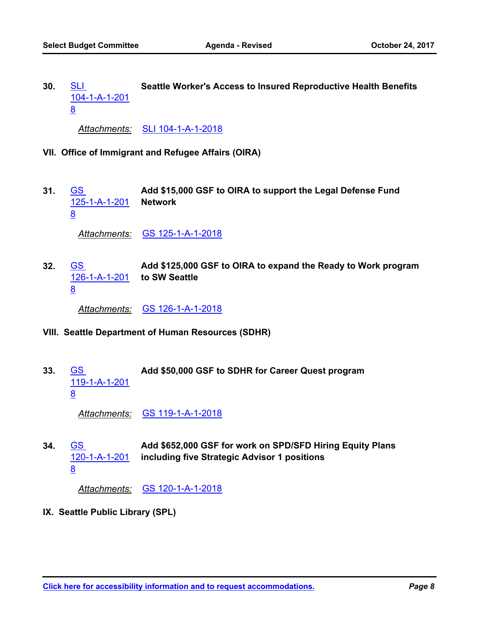SLI **Seattle Worker's Access to Insured Reproductive Health Benefits** [104-1-A-1-201](http://seattle.legistar.com/gateway.aspx?m=l&id=/matter.aspx?key=6190) 8 **30.**

*Attachments:* [SLI 104-1-A-1-2018](http://seattle.legistar.com/gateway.aspx?M=F&ID=faa5b803-67e1-4b8a-ba79-074fb8d7deb9.doc)

- **VII. Office of Immigrant and Refugee Affairs (OIRA)**
- **Add \$15,000 GSF to OIRA to support the Legal Defense Fund Network** GS [125-1-A-1-201](http://seattle.legistar.com/gateway.aspx?m=l&id=/matter.aspx?key=6155) 8 **31.**

*Attachments:* [GS 125-1-A-1-2018](http://seattle.legistar.com/gateway.aspx?M=F&ID=9911168c-4941-4126-8940-007d2d3bf7dd.docx)

**Add \$125,000 GSF to OIRA to expand the Ready to Work program to SW Seattle** GS [126-1-A-1-201](http://seattle.legistar.com/gateway.aspx?m=l&id=/matter.aspx?key=6156) 8 **32.**

*Attachments:* [GS 126-1-A-1-2018](http://seattle.legistar.com/gateway.aspx?M=F&ID=bfdbaaf5-4c54-4a08-919d-58bd0c1e31e2.docx)

- **VIII. Seattle Department of Human Resources (SDHR)**
- GS **Add \$50,000 GSF to SDHR for Career Quest program** [119-1-A-1-201](http://seattle.legistar.com/gateway.aspx?m=l&id=/matter.aspx?key=6153) 8 **33.**

*Attachments:* [GS 119-1-A-1-2018](http://seattle.legistar.com/gateway.aspx?M=F&ID=82de8973-890a-47cd-90d4-dd87abba7f4b.docx)

**Add \$652,000 GSF for work on SPD/SFD Hiring Equity Plans including five Strategic Advisor 1 positions** GS [120-1-A-1-201](http://seattle.legistar.com/gateway.aspx?m=l&id=/matter.aspx?key=6154) 8 **34.**

*Attachments:* [GS 120-1-A-1-2018](http://seattle.legistar.com/gateway.aspx?M=F&ID=a820fd77-1e24-4f07-85bb-d4e1705470bb.docx)

**IX. Seattle Public Library (SPL)**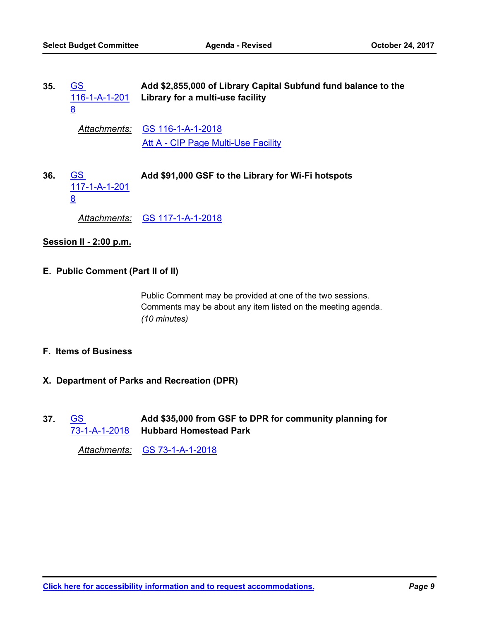| 35. | GS<br>116-1-A-1-201<br>8               | Add \$2,855,000 of Library Capital Subfund fund balance to the<br>Library for a multi-use facility |
|-----|----------------------------------------|----------------------------------------------------------------------------------------------------|
|     | Attachments:                           | GS 116-1-A-1-2018                                                                                  |
|     |                                        | Att A - CIP Page Multi-Use Facility                                                                |
| 36. | <b>GS</b><br>117-1-A-1-201<br><u>8</u> | Add \$91,000 GSF to the Library for Wi-Fi hotspots                                                 |
|     | Attachments:                           | <u>GS 117-1-A-1-2018</u>                                                                           |
|     | Session II - 2:00 p.m.                 |                                                                                                    |

# **E. Public Comment (Part II of II)**

Public Comment may be provided at one of the two sessions. Comments may be about any item listed on the meeting agenda. *(10 minutes)*

### **F. Items of Business**

- **X. Department of Parks and Recreation (DPR)**
- **Add \$35,000 from GSF to DPR for community planning for Hubbard Homestead Park** [73-1-A-1-2018](http://seattle.legistar.com/gateway.aspx?m=l&id=/matter.aspx?key=6140) GS **37.**

*Attachments:* [GS 73-1-A-1-2018](http://seattle.legistar.com/gateway.aspx?M=F&ID=50e2a342-9c75-43e1-b6d4-980ddb634dd7.docx)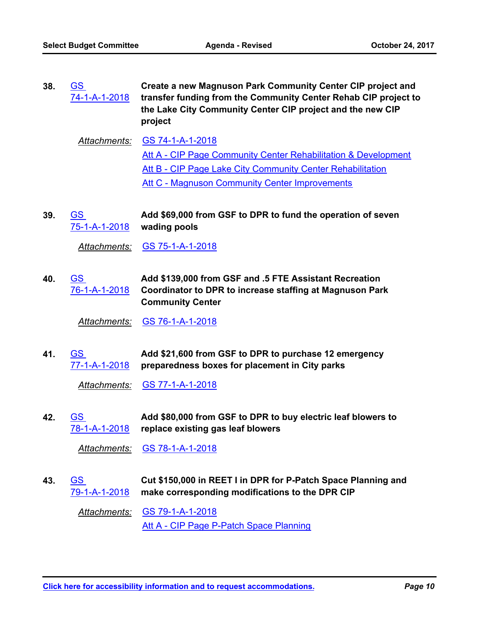- **Create a new Magnuson Park Community Center CIP project and transfer funding from the Community Center Rehab CIP project to the Lake City Community Center CIP project and the new CIP project** GS [74-1-A-1-2018](http://seattle.legistar.com/gateway.aspx?m=l&id=/matter.aspx?key=6141) **38.**
	- *Attachments:* [GS 74-1-A-1-2018](http://seattle.legistar.com/gateway.aspx?M=F&ID=69e2cef1-d5e2-4173-b92b-f998a983fb52.docx) [Att A - CIP Page Community Center Rehabilitation & Development](http://seattle.legistar.com/gateway.aspx?M=F&ID=4f532662-fdca-4676-b79f-c04aef71d5af.pdf) [Att B - CIP Page Lake City Community Center Rehabilitation](http://seattle.legistar.com/gateway.aspx?M=F&ID=f718161e-94b2-45d8-a482-92f30feca87b.pdf) [Att C - Magnuson Community Center Improvements](http://seattle.legistar.com/gateway.aspx?M=F&ID=3eb2cdbd-0601-470a-b4c2-f7067baacdf4.pdf)
- **Add \$69,000 from GSF to DPR to fund the operation of seven wading pools** GS [75-1-A-1-2018](http://seattle.legistar.com/gateway.aspx?m=l&id=/matter.aspx?key=6142) **39.**

*Attachments:* [GS 75-1-A-1-2018](http://seattle.legistar.com/gateway.aspx?M=F&ID=ad29e690-8389-4b44-9308-cc00d6b673ae.docx)

**Add \$139,000 from GSF and .5 FTE Assistant Recreation Coordinator to DPR to increase staffing at Magnuson Park Community Center** GS [76-1-A-1-2018](http://seattle.legistar.com/gateway.aspx?m=l&id=/matter.aspx?key=6143) **40.**

*Attachments:* [GS 76-1-A-1-2018](http://seattle.legistar.com/gateway.aspx?M=F&ID=0cb302e5-9113-4530-986a-bd07ea20f8cc.docx)

**Add \$21,600 from GSF to DPR to purchase 12 emergency preparedness boxes for placement in City parks** GS [77-1-A-1-2018](http://seattle.legistar.com/gateway.aspx?m=l&id=/matter.aspx?key=6144) **41.**

*Attachments:* [GS 77-1-A-1-2018](http://seattle.legistar.com/gateway.aspx?M=F&ID=02c31cd1-7e1b-4c01-a012-40f80b200d47.docx)

**Add \$80,000 from GSF to DPR to buy electric leaf blowers to replace existing gas leaf blowers** GS [78-1-A-1-2018](http://seattle.legistar.com/gateway.aspx?m=l&id=/matter.aspx?key=6145) **42.**

*Attachments:* [GS 78-1-A-1-2018](http://seattle.legistar.com/gateway.aspx?M=F&ID=6c827b58-b809-44c4-9447-23bffc0ce1fe.docx)

**Cut \$150,000 in REET I in DPR for P-Patch Space Planning and make corresponding modifications to the DPR CIP** GS [79-1-A-1-2018](http://seattle.legistar.com/gateway.aspx?m=l&id=/matter.aspx?key=6146) **43.**

*Attachments:* [GS 79-1-A-1-2018](http://seattle.legistar.com/gateway.aspx?M=F&ID=7edf9631-7db0-4c65-81a9-4157cdb1c8a4.docx) [Att A - CIP Page P-Patch Space Planning](http://seattle.legistar.com/gateway.aspx?M=F&ID=235a7f55-d3a7-48bc-bac1-6dd68375f16f.pdf)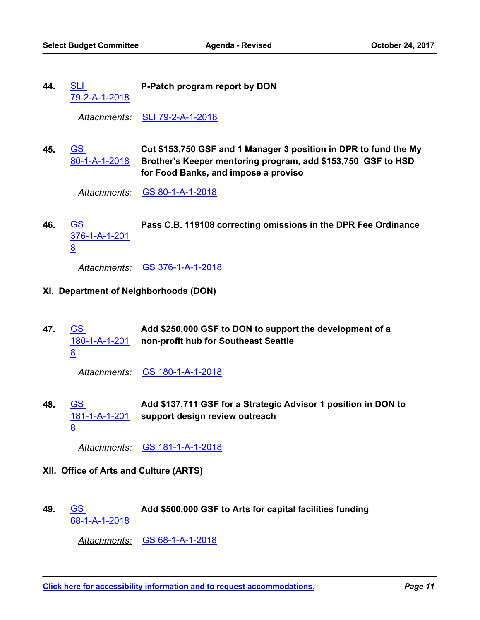SLI **P-Patch program report by DON** [79-2-A-1-2018](http://seattle.legistar.com/gateway.aspx?m=l&id=/matter.aspx?key=6189) **44.**

*Attachments:* [SLI 79-2-A-1-2018](http://seattle.legistar.com/gateway.aspx?M=F&ID=20daadde-02bf-415b-a5b7-1fbe5d844a6b.doc)

**Cut \$153,750 GSF and 1 Manager 3 position in DPR to fund the My Brother's Keeper mentoring program, add \$153,750 GSF to HSD for Food Banks, and impose a proviso** GS [80-1-A-1-2018](http://seattle.legistar.com/gateway.aspx?m=l&id=/matter.aspx?key=6147) **45.**

*Attachments:* [GS 80-1-A-1-2018](http://seattle.legistar.com/gateway.aspx?M=F&ID=c1f074b0-ee42-4916-a9bd-f3b173f0fe11.docx)

GS **Pass C.B. 119108 correcting omissions in the DPR Fee Ordinance** [376-1-A-1-201](http://seattle.legistar.com/gateway.aspx?m=l&id=/matter.aspx?key=6176) <u>8</u> **46.**

*Attachments:* [GS 376-1-A-1-2018](http://seattle.legistar.com/gateway.aspx?M=F&ID=99144c74-d915-4b38-b35b-0f4653139583.docx)

- **XI. Department of Neighborhoods (DON)**
- **Add \$250,000 GSF to DON to support the development of a non-profit hub for Southeast Seattle** GS [180-1-A-1-201](http://seattle.legistar.com/gateway.aspx?m=l&id=/matter.aspx?key=6165) 8 **47.**

*Attachments:* [GS 180-1-A-1-2018](http://seattle.legistar.com/gateway.aspx?M=F&ID=3295b472-3d29-4796-b385-784d66620c21.docx)

**Add \$137,711 GSF for a Strategic Advisor 1 position in DON to support design review outreach** GS [181-1-A-1-201](http://seattle.legistar.com/gateway.aspx?m=l&id=/matter.aspx?key=6166) 8 **48.**

*Attachments:* [GS 181-1-A-1-2018](http://seattle.legistar.com/gateway.aspx?M=F&ID=6f77549a-7440-44c1-998b-4c80e7fd234f.docx)

- **XII. Office of Arts and Culture (ARTS)**
- GS **Add \$500,000 GSF to Arts for capital facilities funding** [68-1-A-1-2018](http://seattle.legistar.com/gateway.aspx?m=l&id=/matter.aspx?key=6137) **49.**

*Attachments:* [GS 68-1-A-1-2018](http://seattle.legistar.com/gateway.aspx?M=F&ID=b4b1ad86-988b-4d2b-9aa7-6a6c1e399ab6.docx)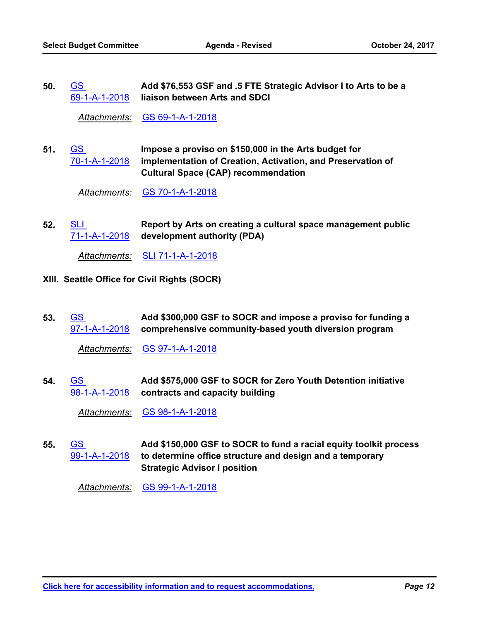**Add \$76,553 GSF and .5 FTE Strategic Advisor I to Arts to be a liaison between Arts and SDCI** GS [69-1-A-1-2018](http://seattle.legistar.com/gateway.aspx?m=l&id=/matter.aspx?key=6138) **50.**

*Attachments:* [GS 69-1-A-1-2018](http://seattle.legistar.com/gateway.aspx?M=F&ID=551fa446-d2f5-4ad6-86c8-e6e064a0bb04.docx)

**Impose a proviso on \$150,000 in the Arts budget for implementation of Creation, Activation, and Preservation of Cultural Space (CAP) recommendation** GS [70-1-A-1-2018](http://seattle.legistar.com/gateway.aspx?m=l&id=/matter.aspx?key=6139) **51.**

*Attachments:* [GS 70-1-A-1-2018](http://seattle.legistar.com/gateway.aspx?M=F&ID=e18b9330-bbcf-444b-81f0-1f31eabc3af4.docx)

**Report by Arts on creating a cultural space management public development authority (PDA)** SLI [71-1-A-1-2018](http://seattle.legistar.com/gateway.aspx?m=l&id=/matter.aspx?key=6195) **52.**

*Attachments:* [SLI 71-1-A-1-2018](http://seattle.legistar.com/gateway.aspx?M=F&ID=a37b6a3b-f26e-484e-b749-bbb4470c6eba.doc)

- **XIII. Seattle Office for Civil Rights (SOCR)**
- **Add \$300,000 GSF to SOCR and impose a proviso for funding a comprehensive community-based youth diversion program** [97-1-A-1-2018](http://seattle.legistar.com/gateway.aspx?m=l&id=/matter.aspx?key=6148) GS **53.**

*Attachments:* [GS 97-1-A-1-2018](http://seattle.legistar.com/gateway.aspx?M=F&ID=c1a7740f-9f30-46b5-928c-f5d12d5faf4e.docx)

**Add \$575,000 GSF to SOCR for Zero Youth Detention initiative contracts and capacity building** GS [98-1-A-1-2018](http://seattle.legistar.com/gateway.aspx?m=l&id=/matter.aspx?key=6149) **54.**

*Attachments:* [GS 98-1-A-1-2018](http://seattle.legistar.com/gateway.aspx?M=F&ID=d49142ab-3654-462b-96c2-d49a8ab73fb4.docx)

**Add \$150,000 GSF to SOCR to fund a racial equity toolkit process to determine office structure and design and a temporary Strategic Advisor I position** GS [99-1-A-1-2018](http://seattle.legistar.com/gateway.aspx?m=l&id=/matter.aspx?key=6150) **55.**

*Attachments:* [GS 99-1-A-1-2018](http://seattle.legistar.com/gateway.aspx?M=F&ID=ceb8bc06-5079-4de4-bf25-70462782f4ea.docx)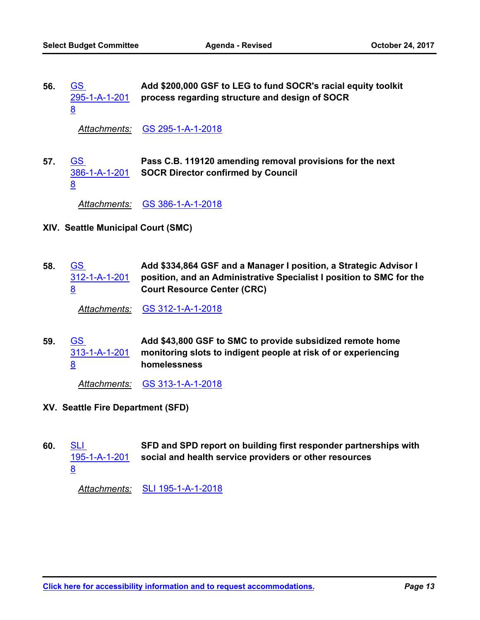**Add \$200,000 GSF to LEG to fund SOCR's racial equity toolkit process regarding structure and design of SOCR** GS [295-1-A-1-201](http://seattle.legistar.com/gateway.aspx?m=l&id=/matter.aspx?key=6173) 8 **56.**

*Attachments:* [GS 295-1-A-1-2018](http://seattle.legistar.com/gateway.aspx?M=F&ID=46e76e44-e173-44a6-a05d-098d6f3dc06c.docx)

**Pass C.B. 119120 amending removal provisions for the next SOCR Director confirmed by Council** GS [386-1-A-1-201](http://seattle.legistar.com/gateway.aspx?m=l&id=/matter.aspx?key=6184) 8 **57.**

*Attachments:* [GS 386-1-A-1-2018](http://seattle.legistar.com/gateway.aspx?M=F&ID=795750dd-63bc-47be-b411-b4ea7e0215dd.docx)

- **XIV. Seattle Municipal Court (SMC)**
- **Add \$334,864 GSF and a Manager I position, a Strategic Advisor I position, and an Administrative Specialist I position to SMC for the Court Resource Center (CRC)** GS [312-1-A-1-201](http://seattle.legistar.com/gateway.aspx?m=l&id=/matter.aspx?key=6174) 8 **58.**

*Attachments:* [GS 312-1-A-1-2018](http://seattle.legistar.com/gateway.aspx?M=F&ID=8ccaa43b-0c27-42b7-9458-0de5426fabf1.docx)

**Add \$43,800 GSF to SMC to provide subsidized remote home monitoring slots to indigent people at risk of or experiencing homelessness** GS [313-1-A-1-201](http://seattle.legistar.com/gateway.aspx?m=l&id=/matter.aspx?key=6175) 8 **59.**

*Attachments:* [GS 313-1-A-1-2018](http://seattle.legistar.com/gateway.aspx?M=F&ID=83d3d60a-971d-46fe-8cd0-4e06af9d8f85.docx)

**XV. Seattle Fire Department (SFD)**

8

**SFD and SPD report on building first responder partnerships with social and health service providers or other resources** SLI [195-1-A-1-201](http://seattle.legistar.com/gateway.aspx?m=l&id=/matter.aspx?key=6191) **60.**

*Attachments:* [SLI 195-1-A-1-2018](http://seattle.legistar.com/gateway.aspx?M=F&ID=4502c048-39be-4d4c-a2f6-0d144053c03b.doc)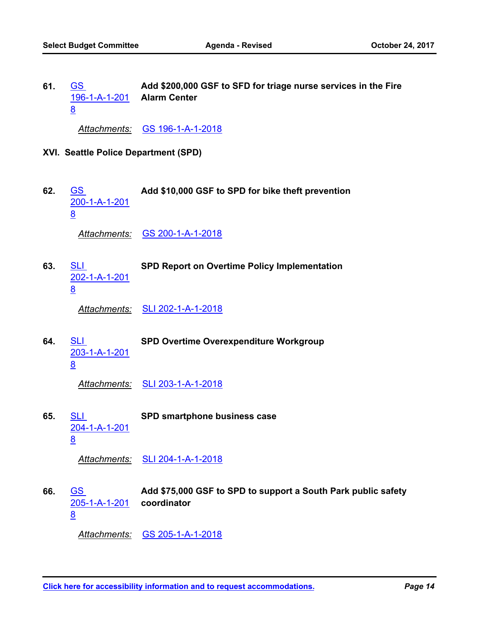**Add \$200,000 GSF to SFD for triage nurse services in the Fire Alarm Center** [196-1-A-1-201](http://seattle.legistar.com/gateway.aspx?m=l&id=/matter.aspx?key=6167) GS 8 **61.**

*Attachments:* [GS 196-1-A-1-2018](http://seattle.legistar.com/gateway.aspx?M=F&ID=8fb224cf-642f-4c49-b314-c3367d5bc9b1.docx)

- **XVI. Seattle Police Department (SPD)**
- GS **Add \$10,000 GSF to SPD for bike theft prevention** [200-1-A-1-201](http://seattle.legistar.com/gateway.aspx?m=l&id=/matter.aspx?key=6168) 8 **62.**

*Attachments:* [GS 200-1-A-1-2018](http://seattle.legistar.com/gateway.aspx?M=F&ID=77ba2545-e6d1-4c6c-9d7a-ff5dc60ae78f.docx)

SLI **SPD Report on Overtime Policy Implementation** [202-1-A-1-201](http://seattle.legistar.com/gateway.aspx?m=l&id=/matter.aspx?key=6192) 8 **63.**

*Attachments:* [SLI 202-1-A-1-2018](http://seattle.legistar.com/gateway.aspx?M=F&ID=1f612920-b945-484c-8052-1f3e8d01c53a.doc)

- SLI **SPD Overtime Overexpenditure Workgroup** [203-1-A-1-201](http://seattle.legistar.com/gateway.aspx?m=l&id=/matter.aspx?key=6193) <u>8</u> **64.**
	- *Attachments:* [SLI 203-1-A-1-2018](http://seattle.legistar.com/gateway.aspx?M=F&ID=eba79085-dd13-4a70-b740-c24a49960f92.doc)
- SLI **SPD smartphone business case** [204-1-A-1-201](http://seattle.legistar.com/gateway.aspx?m=l&id=/matter.aspx?key=6194) 8 **65.**

*Attachments:* [SLI 204-1-A-1-2018](http://seattle.legistar.com/gateway.aspx?M=F&ID=244dab9e-84f0-4de7-9800-4c7ee3283338.doc)

**Add \$75,000 GSF to SPD to support a South Park public safety coordinator** GS [205-1-A-1-201](http://seattle.legistar.com/gateway.aspx?m=l&id=/matter.aspx?key=6170) 8 **66.**

*Attachments:* [GS 205-1-A-1-2018](http://seattle.legistar.com/gateway.aspx?M=F&ID=f2ca3ae6-590f-4aa7-b653-4cda30dc25ac.docx)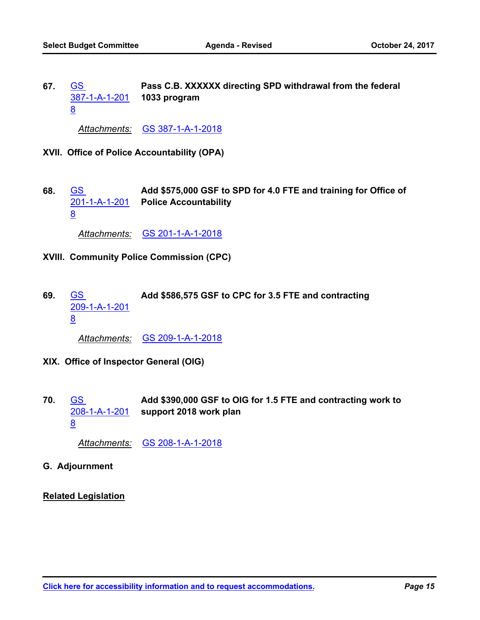**Pass C.B. XXXXXX directing SPD withdrawal from the federal 1033 program** GS [387-1-A-1-201](http://seattle.legistar.com/gateway.aspx?m=l&id=/matter.aspx?key=6185) 8 **67.**

*Attachments:* [GS 387-1-A-1-2018](http://seattle.legistar.com/gateway.aspx?M=F&ID=f5c3559c-a9c0-4fe1-8791-f3fcc129d21a.docx)

- **XVII. Office of Police Accountability (OPA)**
- **Add \$575,000 GSF to SPD for 4.0 FTE and training for Office of Police Accountability** GS [201-1-A-1-201](http://seattle.legistar.com/gateway.aspx?m=l&id=/matter.aspx?key=6169) 8 **68.**

*Attachments:* [GS 201-1-A-1-2018](http://seattle.legistar.com/gateway.aspx?M=F&ID=99efc485-f746-410b-ad4b-8947a5e0cd43.docx)

- **XVIII. Community Police Commission (CPC)**
- GS **Add \$586,575 GSF to CPC for 3.5 FTE and contracting** [209-1-A-1-201](http://seattle.legistar.com/gateway.aspx?m=l&id=/matter.aspx?key=6172) 8 **69.**

*Attachments:* [GS 209-1-A-1-2018](http://seattle.legistar.com/gateway.aspx?M=F&ID=6a7bde9c-e340-4617-a493-1217278a3204.docx)

- **XIX. Office of Inspector General (OIG)**
- **Add \$390,000 GSF to OIG for 1.5 FTE and contracting work to support 2018 work plan** GS [208-1-A-1-201](http://seattle.legistar.com/gateway.aspx?m=l&id=/matter.aspx?key=6171) 8 **70.**

*Attachments:* [GS 208-1-A-1-2018](http://seattle.legistar.com/gateway.aspx?M=F&ID=8e1e6e98-e053-482b-8d6a-aae2837246c9.docx)

- **G. Adjournment**
- **Related Legislation**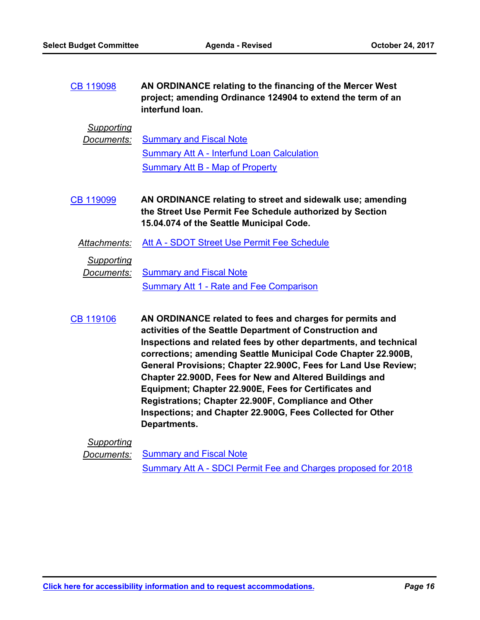| CB 119098 | AN ORDINANCE relating to the financing of the Mercer West   |
|-----------|-------------------------------------------------------------|
|           | project; amending Ordinance 124904 to extend the term of an |
|           | interfund Ioan.                                             |

#### *Supporting*

| Documents: Summary and Fiscal Note                |
|---------------------------------------------------|
| <b>Summary Att A - Interfund Loan Calculation</b> |
| Summary Att B - Map of Property                   |

**AN ORDINANCE relating to street and sidewalk use; amending the Street Use Permit Fee Schedule authorized by Section 15.04.074 of the Seattle Municipal Code.** [CB 119099](http://seattle.legistar.com/gateway.aspx?m=l&id=/matter.aspx?key=5924)

*Attachments:* [Att A - SDOT Street Use Permit Fee Schedule](http://seattle.legistar.com/gateway.aspx?M=F&ID=0a5c1e7d-8c3f-48ad-8326-17ce563d94b8.pdf)

#### *Supporting*

**Documents:** [Summary and Fiscal Note](http://seattle.legistar.com/gateway.aspx?M=F&ID=5b5b7956-059b-460f-ba65-2f15c3f77981.docx) [Summary Att 1 - Rate and Fee Comparison](http://seattle.legistar.com/gateway.aspx?M=F&ID=d52b02e9-6c19-4c47-bf37-1bbf59a112ff.pdf)

**AN ORDINANCE related to fees and charges for permits and activities of the Seattle Department of Construction and Inspections and related fees by other departments, and technical corrections; amending Seattle Municipal Code Chapter 22.900B, General Provisions; Chapter 22.900C, Fees for Land Use Review; Chapter 22.900D, Fees for New and Altered Buildings and Equipment; Chapter 22.900E, Fees for Certificates and Registrations; Chapter 22.900F, Compliance and Other Inspections; and Chapter 22.900G, Fees Collected for Other Departments.** [CB 119106](http://seattle.legistar.com/gateway.aspx?m=l&id=/matter.aspx?key=5863)

### *Supporting*

**Documents:** [Summary and Fiscal Note](http://seattle.legistar.com/gateway.aspx?M=F&ID=80e5540d-12dc-49f9-830d-c4afa46fe3ab.docx)

[Summary Att A - SDCI Permit Fee and Charges proposed for 2018](http://seattle.legistar.com/gateway.aspx?M=F&ID=877403c5-1df5-46e6-b00d-366ddec753bb.docx)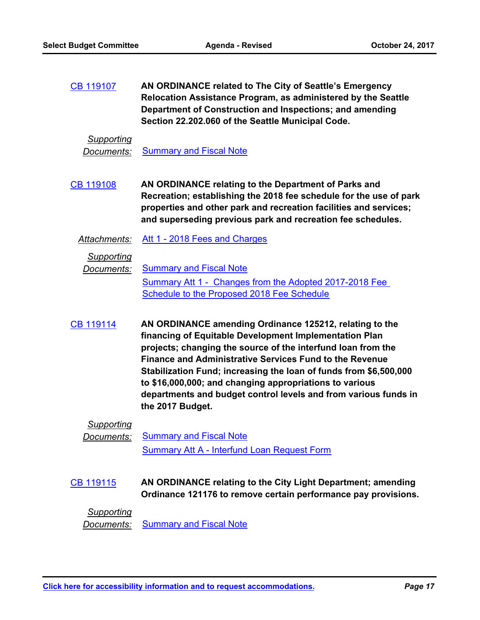**AN ORDINANCE related to The City of Seattle's Emergency Relocation Assistance Program, as administered by the Seattle Department of Construction and Inspections; and amending Section 22.202.060 of the Seattle Municipal Code.** [CB 119107](http://seattle.legistar.com/gateway.aspx?m=l&id=/matter.aspx?key=5862)

#### *Supporting*

**Documents:** [Summary and Fiscal Note](http://seattle.legistar.com/gateway.aspx?M=F&ID=edea0248-b898-4e29-897a-3628a5c539c7.docx)

- **AN ORDINANCE relating to the Department of Parks and Recreation; establishing the 2018 fee schedule for the use of park properties and other park and recreation facilities and services; and superseding previous park and recreation fee schedules.** [CB 119108](http://seattle.legistar.com/gateway.aspx?m=l&id=/matter.aspx?key=5860)
	- *Attachments:* [Att 1 2018 Fees and Charges](http://seattle.legistar.com/gateway.aspx?M=F&ID=ac378008-90ad-4ff0-8d61-6cd5f2a27af1.docx)

*Supporting*

**Documents:** [Summary and Fiscal Note](http://seattle.legistar.com/gateway.aspx?M=F&ID=f7fcecc4-749e-4474-b743-64bd7224e6df.docx) [Summary Att 1 - Changes from the Adopted 2017-2018 Fee](http://seattle.legistar.com/gateway.aspx?M=F&ID=dc84142f-e47e-4577-8b1c-70e0a8312425.docx)  Schedule to the Proposed 2018 Fee Schedule

**AN ORDINANCE amending Ordinance 125212, relating to the financing of Equitable Development Implementation Plan projects; changing the source of the interfund loan from the Finance and Administrative Services Fund to the Revenue Stabilization Fund; increasing the loan of funds from \$6,500,000 to \$16,000,000; and changing appropriations to various departments and budget control levels and from various funds in the 2017 Budget.** [CB 119114](http://seattle.legistar.com/gateway.aspx?m=l&id=/matter.aspx?key=5946)

*Supporting*

*Documents:* [Summary and Fiscal Note](http://seattle.legistar.com/gateway.aspx?M=F&ID=caf96b72-9dcd-4a97-a903-c1c678348018.docx) [Summary Att A - Interfund Loan Request Form](http://seattle.legistar.com/gateway.aspx?M=F&ID=69986636-5b2a-45ad-bfd4-7bd300b59ab4.xlsx)

**AN ORDINANCE relating to the City Light Department; amending Ordinance 121176 to remove certain performance pay provisions.** [CB 119115](http://seattle.legistar.com/gateway.aspx?m=l&id=/matter.aspx?key=6026)

#### *Supporting*

**Documents:** [Summary and Fiscal Note](http://seattle.legistar.com/gateway.aspx?M=F&ID=640fff24-e05c-42ac-9991-b63c5855606b.docx)